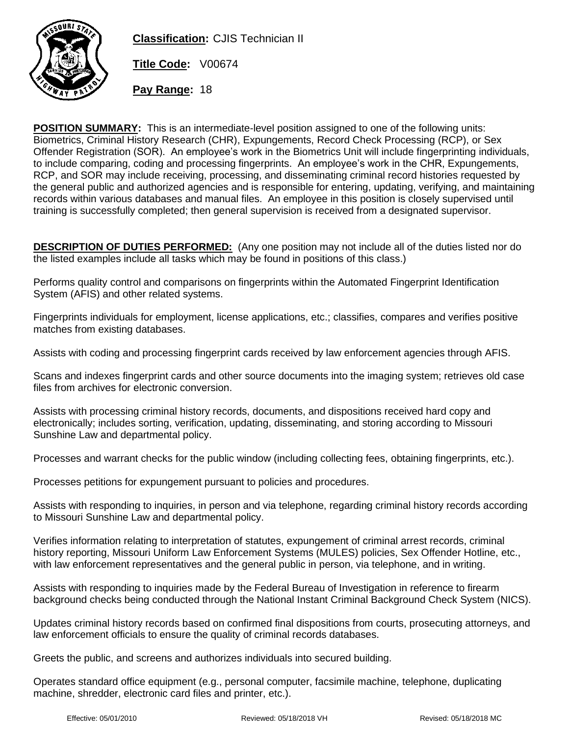

**Classification:** CJIS Technician II

**Title Code:** V00674

**Pay Range:** 18

**POSITION SUMMARY:** This is an intermediate-level position assigned to one of the following units: Biometrics, Criminal History Research (CHR), Expungements, Record Check Processing (RCP), or Sex Offender Registration (SOR). An employee's work in the Biometrics Unit will include fingerprinting individuals, to include comparing, coding and processing fingerprints. An employee's work in the CHR, Expungements, RCP, and SOR may include receiving, processing, and disseminating criminal record histories requested by the general public and authorized agencies and is responsible for entering, updating, verifying, and maintaining records within various databases and manual files. An employee in this position is closely supervised until training is successfully completed; then general supervision is received from a designated supervisor.

**DESCRIPTION OF DUTIES PERFORMED:** (Any one position may not include all of the duties listed nor do the listed examples include all tasks which may be found in positions of this class.)

Performs quality control and comparisons on fingerprints within the Automated Fingerprint Identification System (AFIS) and other related systems.

Fingerprints individuals for employment, license applications, etc.; classifies, compares and verifies positive matches from existing databases.

Assists with coding and processing fingerprint cards received by law enforcement agencies through AFIS.

Scans and indexes fingerprint cards and other source documents into the imaging system; retrieves old case files from archives for electronic conversion.

Assists with processing criminal history records, documents, and dispositions received hard copy and electronically; includes sorting, verification, updating, disseminating, and storing according to Missouri Sunshine Law and departmental policy.

Processes and warrant checks for the public window (including collecting fees, obtaining fingerprints, etc.).

Processes petitions for expungement pursuant to policies and procedures.

Assists with responding to inquiries, in person and via telephone, regarding criminal history records according to Missouri Sunshine Law and departmental policy.

Verifies information relating to interpretation of statutes, expungement of criminal arrest records, criminal history reporting, Missouri Uniform Law Enforcement Systems (MULES) policies, Sex Offender Hotline, etc., with law enforcement representatives and the general public in person, via telephone, and in writing.

Assists with responding to inquiries made by the Federal Bureau of Investigation in reference to firearm background checks being conducted through the National Instant Criminal Background Check System (NICS).

Updates criminal history records based on confirmed final dispositions from courts, prosecuting attorneys, and law enforcement officials to ensure the quality of criminal records databases.

Greets the public, and screens and authorizes individuals into secured building.

Operates standard office equipment (e.g., personal computer, facsimile machine, telephone, duplicating machine, shredder, electronic card files and printer, etc.).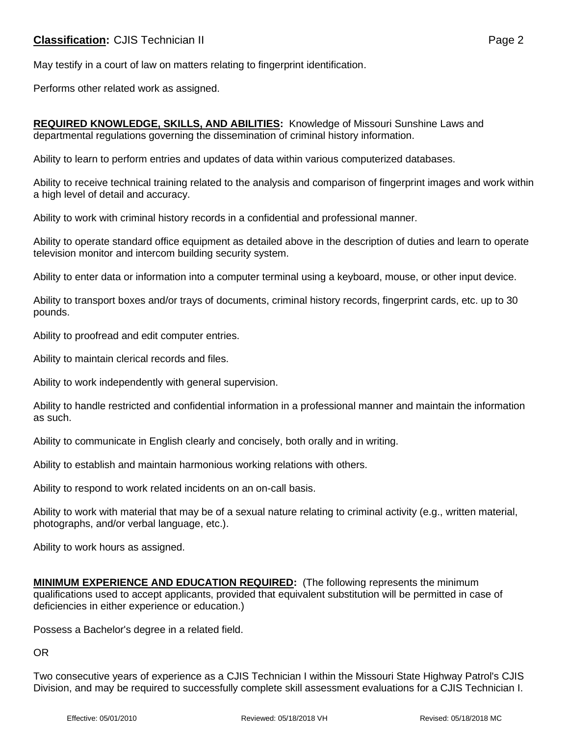May testify in a court of law on matters relating to fingerprint identification.

Performs other related work as assigned.

**REQUIRED KNOWLEDGE, SKILLS, AND ABILITIES:** Knowledge of Missouri Sunshine Laws and departmental regulations governing the dissemination of criminal history information.

Ability to learn to perform entries and updates of data within various computerized databases.

Ability to receive technical training related to the analysis and comparison of fingerprint images and work within a high level of detail and accuracy.

Ability to work with criminal history records in a confidential and professional manner.

Ability to operate standard office equipment as detailed above in the description of duties and learn to operate television monitor and intercom building security system.

Ability to enter data or information into a computer terminal using a keyboard, mouse, or other input device.

Ability to transport boxes and/or trays of documents, criminal history records, fingerprint cards, etc. up to 30 pounds.

Ability to proofread and edit computer entries.

Ability to maintain clerical records and files.

Ability to work independently with general supervision.

Ability to handle restricted and confidential information in a professional manner and maintain the information as such.

Ability to communicate in English clearly and concisely, both orally and in writing.

Ability to establish and maintain harmonious working relations with others.

Ability to respond to work related incidents on an on-call basis.

Ability to work with material that may be of a sexual nature relating to criminal activity (e.g., written material, photographs, and/or verbal language, etc.).

Ability to work hours as assigned.

**MINIMUM EXPERIENCE AND EDUCATION REQUIRED:** (The following represents the minimum qualifications used to accept applicants, provided that equivalent substitution will be permitted in case of deficiencies in either experience or education.)

Possess a Bachelor's degree in a related field.

OR

Two consecutive years of experience as a CJIS Technician I within the Missouri State Highway Patrol's CJIS Division, and may be required to successfully complete skill assessment evaluations for a CJIS Technician I.